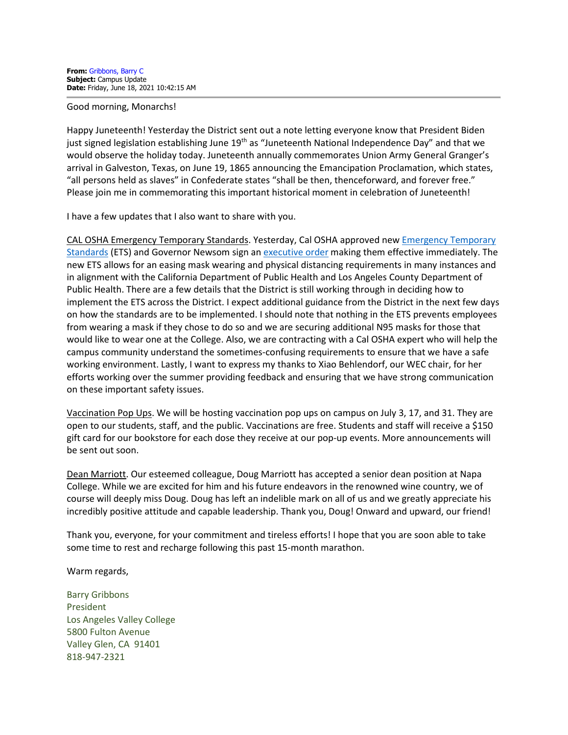## Good morning, Monarchs!

Happy Juneteenth! Yesterday the District sent out a note letting everyone know that President Biden just signed legislation establishing June 19<sup>th</sup> as "Juneteenth National Independence Day" and that we would observe the holiday today. Juneteenth annually commemorates Union Army General Granger's arrival in Galveston, Texas, on June 19, 1865 announcing the Emancipation Proclamation, which states, "all persons held as slaves" in Confederate states "shall be then, thenceforward, and forever free." Please join me in commemorating this important historical moment in celebration of Juneteenth!

I have a few updates that I also want to share with you.

CAL OSHA Emergency Temporary Standards. Yesterday, Cal OSHA approved new [Emergency Temporary](https://www.dir.ca.gov/dosh/coronavirus/Revisions-FAQ.html)  [Standards](https://www.dir.ca.gov/dosh/coronavirus/Revisions-FAQ.html) (ETS) and Governor Newsom sign an [executive order](https://www.gov.ca.gov/wp-content/uploads/2021/06/6.17.21-ETS-EO-N-09-21.pdf) making them effective immediately. The new ETS allows for an easing mask wearing and physical distancing requirements in many instances and in alignment with the California Department of Public Health and Los Angeles County Department of Public Health. There are a few details that the District is still working through in deciding how to implement the ETS across the District. I expect additional guidance from the District in the next few days on how the standards are to be implemented. I should note that nothing in the ETS prevents employees from wearing a mask if they chose to do so and we are securing additional N95 masks for those that would like to wear one at the College. Also, we are contracting with a Cal OSHA expert who will help the campus community understand the sometimes-confusing requirements to ensure that we have a safe working environment. Lastly, I want to express my thanks to Xiao Behlendorf, our WEC chair, for her efforts working over the summer providing feedback and ensuring that we have strong communication on these important safety issues.

Vaccination Pop Ups. We will be hosting vaccination pop ups on campus on July 3, 17, and 31. They are open to our students, staff, and the public. Vaccinations are free. Students and staff will receive a \$150 gift card for our bookstore for each dose they receive at our pop-up events. More announcements will be sent out soon.

Dean Marriott. Our esteemed colleague, Doug Marriott has accepted a senior dean position at Napa College. While we are excited for him and his future endeavors in the renowned wine country, we of course will deeply miss Doug. Doug has left an indelible mark on all of us and we greatly appreciate his incredibly positive attitude and capable leadership. Thank you, Doug! Onward and upward, our friend!

Thank you, everyone, for your commitment and tireless efforts! I hope that you are soon able to take some time to rest and recharge following this past 15-month marathon.

Warm regards,

Barry Gribbons President Los Angeles Valley College 5800 Fulton Avenue Valley Glen, CA 91401 818-947-2321